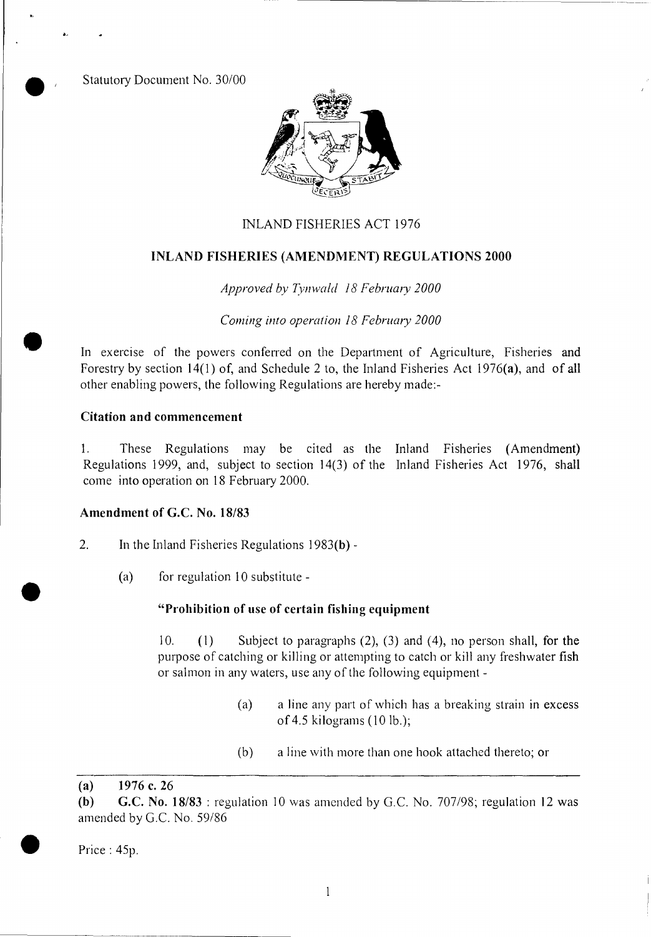Statutory Document No. 30/00

**a, •** 



## INLAND FISHERIES ACT 1976

#### **INLAND FISHERIES (AMENDMENT) REGULATIONS 2000**

*Approved by Tynwald 18 February 2000* 

*Corning into operation 18 February 2000* 

In exercise of the powers conferred on the Department of Agriculture, Fisheries **and**  Forestry by section 14(1) of, and Schedule 2 to, the Inland Fisheries Act 1976(a), and of all other enabling powers, the following Regulations are hereby made:-

## **Citation and commencement**

1. These Regulations may be cited as the Inland Fisheries (Amendment) Regulations 1999, and, subject to section 14(3) of the Inland Fisheries Act 1976, **shall**  come into operation on 18 February 2000.

# **Amendment of G.C. No. 18/83**

- 2. In the Inland Fisheries Regulations 1983(b)
	- (a) for regulation 10 substitute -

### **"Prohibition of use of certain fishing equipment**

10. (1) Subject to paragraphs (2), (3) and (4), no person shall, for **the**  purpose of catching or killing or attempting to catch or kill any freshwater **fish**  or salmon in any waters, use any of the following equipment -

- (a) a line any part of which has a breaking strain in **excess**  of 4.5 kilograms (10 lb.);
- (b) a line with more than one hook attached thereto; or

**(a) 1976 c. 26** 

Price : 45p.

•

**<sup>(</sup>b) G.C. No. 18/83 :** regulation 10 was amended by G.C. No. 707/98; regulation **12 was**  amended by G.C. No. 59/86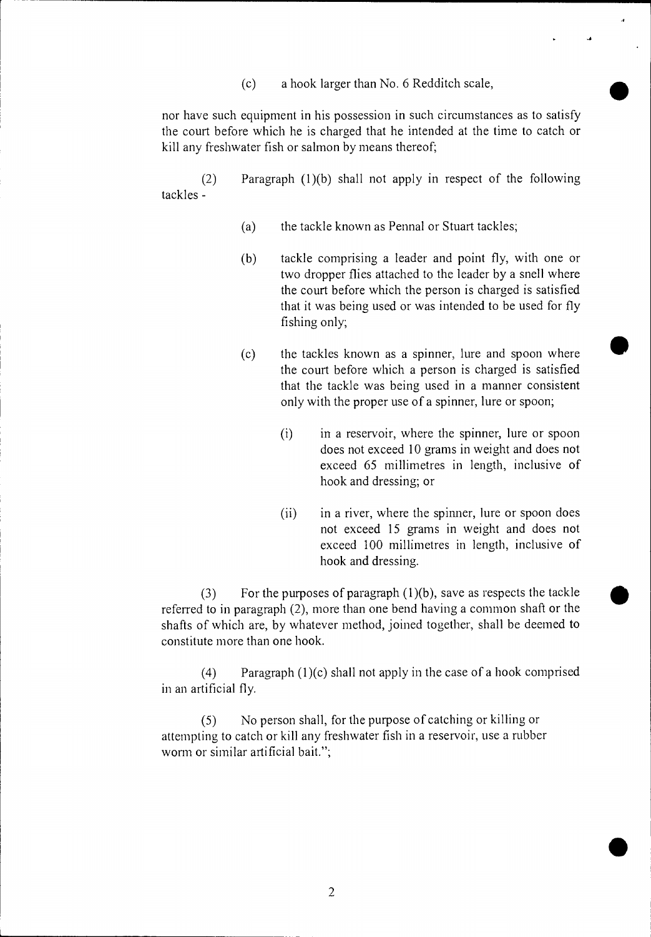(c) a hook larger than No. 6 Redditch scale,

nor have such equipment in his possession in such circumstances as to satisfy the court before which he is charged that he intended at the time to catch or kill any freshwater fish or salmon by means thereof;

(2) Paragraph (1)(b) shall not apply in respect of the following tackles -

- (a) the tackle known as Pennal or Stuart tackles;
- (b) tackle comprising a leader and point fly, with one or two dropper flies attached to the leader by a snell where the court before which the person is charged is satisfied that it was being used or was intended to be used for fly fishing only;
- (c) the tackles known as a spinner, lure and spoon where the court before which a person is charged is satisfied that the tackle was being used in a manner consistent only with the proper use of a spinner, lure or spoon;
	- (i) in a reservoir, where the spinner, lure or spoon does not exceed 10 grams in weight and does not exceed 65 millimetres in length, inclusive of hook and dressing; or
	- (ii) in a river, where the spinner, lure or spoon does not exceed 15 grams in weight and does not exceed 100 millimetres in length, inclusive of hook and dressing.

(3) For the purposes of paragraph  $(1)(b)$ , save as respects the tackle referred to in paragraph (2), more than one bend having a common shaft or the shafts of which are, by whatever method, joined together, shall be deemed to constitute more than one hook.

(4) Paragraph  $(1)(c)$  shall not apply in the case of a hook comprised in an artificial fly.

(5) No person shall, for the purpose of catching or killing or attempting to catch or kill any freshwater fish in a reservoir, use a rubber worm or similar artificial bait.";